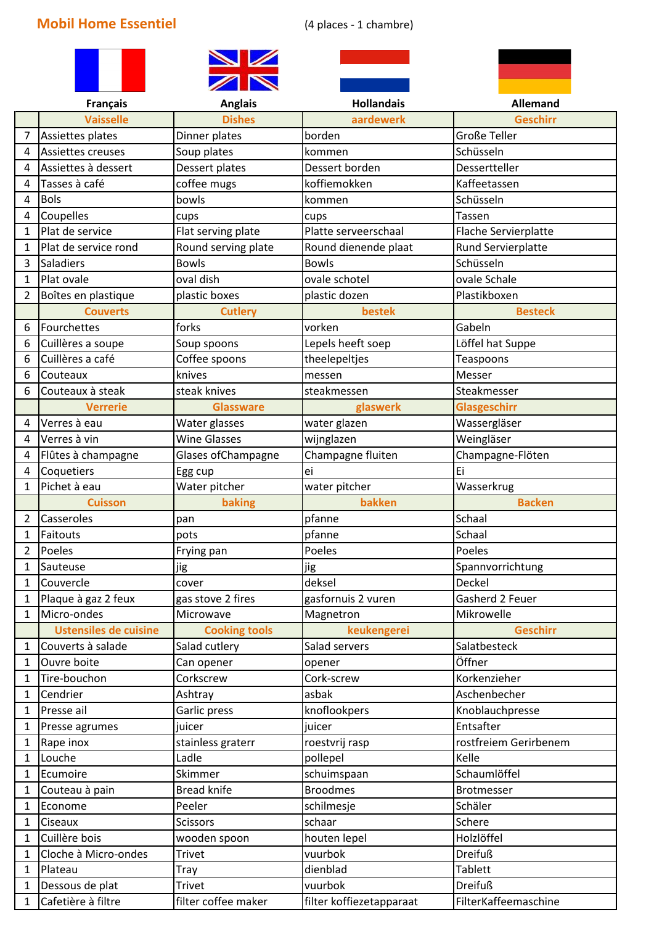## **Mobil Home Essentiel** (4 places - 1 chambre)









|                | <b>Français</b>              | <b>Anglais</b>       | <b>Hollandais</b>        | <b>Allemand</b>       |
|----------------|------------------------------|----------------------|--------------------------|-----------------------|
|                | <b>Vaisselle</b>             | <b>Dishes</b>        | aardewerk                | <b>Geschirr</b>       |
| 7              | Assiettes plates             | Dinner plates        | borden                   | <b>Große Teller</b>   |
| 4              | Assiettes creuses            | Soup plates          | kommen                   | Schüsseln             |
| 4              | Assiettes à dessert          | Dessert plates       | Dessert borden           | Dessertteller         |
| 4              | Tasses à café                | coffee mugs          | koffiemokken             | Kaffeetassen          |
| 4              | <b>Bols</b>                  | bowls                | kommen                   | Schüsseln             |
| 4              | Coupelles                    | cups                 | cups                     | Tassen                |
| 1              | Plat de service              | Flat serving plate   | Platte serveerschaal     | Flache Servierplatte  |
| 1              | Plat de service rond         | Round serving plate  | Round dienende plaat     | Rund Servierplatte    |
| 3              | <b>Saladiers</b>             | <b>Bowls</b>         | <b>Bowls</b>             | Schüsseln             |
| 1              | Plat ovale                   | oval dish            | ovale schotel            | ovale Schale          |
| $\overline{2}$ | Boîtes en plastique          | plastic boxes        | plastic dozen            | Plastikboxen          |
|                | <b>Couverts</b>              | <b>Cutlery</b>       | bestek                   | <b>Besteck</b>        |
| 6              | Fourchettes                  | forks                | vorken                   | Gabeln                |
| 6              | Cuillères a soupe            | Soup spoons          | Lepels heeft soep        | Löffel hat Suppe      |
| 6              | Cuillères a café             | Coffee spoons        | theelepeltjes            | Teaspoons             |
| 6              | Couteaux                     | knives               | messen                   | Messer                |
| 6              | Couteaux à steak             | steak knives         | steakmessen              | Steakmesser           |
|                | <b>Verrerie</b>              | <b>Glassware</b>     | glaswerk                 | <b>Glasgeschirr</b>   |
| 4              | Verres à eau                 | Water glasses        | water glazen             | Wassergläser          |
| 4              | Verres à vin                 | <b>Wine Glasses</b>  | wijnglazen               | Weingläser            |
| 4              | Flûtes à champagne           | Glases of Champagne  | Champagne fluiten        | Champagne-Flöten      |
| 4              | Coquetiers                   | Egg cup              | ei                       | Ei                    |
| 1              | Pichet à eau                 | Water pitcher        | water pitcher            | Wasserkrug            |
|                | <b>Cuisson</b>               | baking               | bakken                   | <b>Backen</b>         |
| 2              | Casseroles                   | pan                  | pfanne                   | Schaal                |
| 1              | Faitouts                     | pots                 | pfanne                   | Schaal                |
| 2              | Poeles                       | Frying pan           | Poeles                   | Poeles                |
| 1              | Sauteuse                     | jig                  | jig                      | Spannvorrichtung      |
| 1              | Couvercle                    | cover                | deksel                   | <b>Deckel</b>         |
| 1              | Plaque à gaz 2 feux          | gas stove 2 fires    | gasfornuis 2 vuren       | Gasherd 2 Feuer       |
| 1              | Micro-ondes                  | Microwave            | Magnetron                | Mikrowelle            |
|                | <b>Ustensiles de cuisine</b> | <b>Cooking tools</b> | keukengerei              | <b>Geschirr</b>       |
| 1              | Couverts à salade            | Salad cutlery        | Salad servers            | Salatbesteck          |
| 1              | Ouvre boite                  | Can opener           | opener                   | Öffner                |
| 1              | Tire-bouchon                 | Corkscrew            | Cork-screw               | Korkenzieher          |
| 1              | Cendrier                     | Ashtray              | asbak                    | Aschenbecher          |
| 1              | Presse ail                   | Garlic press         | knoflookpers             | Knoblauchpresse       |
| 1              | Presse agrumes               | juicer               | juicer                   | Entsafter             |
| 1              | Rape inox                    | stainless graterr    | roestvrij rasp           | rostfreiem Gerirbenem |
| 1              | Louche                       | Ladle                | pollepel                 | Kelle                 |
| 1              | Ecumoire                     | Skimmer              | schuimspaan              | Schaumlöffel          |
| 1              | Couteau à pain               | <b>Bread knife</b>   | <b>Broodmes</b>          | Brotmesser            |
| 1              | Econome                      | Peeler               | schilmesje               | Schäler               |
| 1              | Ciseaux                      | <b>Scissors</b>      | schaar                   | Schere                |
| 1              | Cuillère bois                | wooden spoon         | houten lepel             | Holzlöffel            |
| 1              | Cloche à Micro-ondes         | Trivet               | vuurbok                  | <b>Dreifuß</b>        |
| 1              | Plateau                      | Tray                 | dienblad                 | <b>Tablett</b>        |
| 1              | Dessous de plat              | <b>Trivet</b>        | vuurbok                  | <b>Dreifuß</b>        |
| $\mathbf{1}$   | Cafetière à filtre           | filter coffee maker  | filter koffiezetapparaat | FilterKaffeemaschine  |
|                |                              |                      |                          |                       |